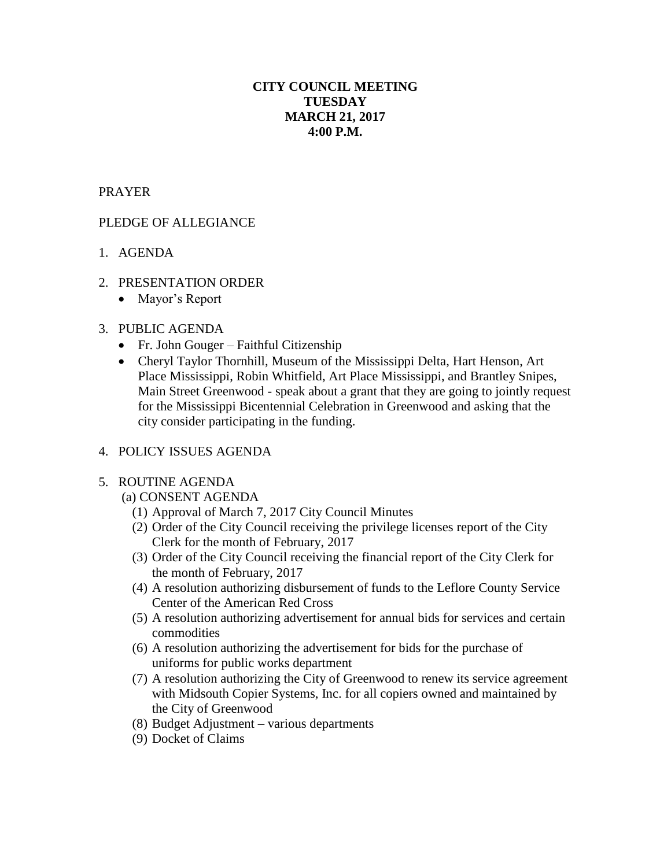# **CITY COUNCIL MEETING TUESDAY MARCH 21, 2017 4:00 P.M.**

## PRAYER

# PLEDGE OF ALLEGIANCE

- 1. AGENDA
- 2. PRESENTATION ORDER
	- Mayor's Report

#### 3. PUBLIC AGENDA

- Fr. John Gouger Faithful Citizenship
- Cheryl Taylor Thornhill, Museum of the Mississippi Delta, Hart Henson, Art Place Mississippi, Robin Whitfield, Art Place Mississippi, and Brantley Snipes, Main Street Greenwood - speak about a grant that they are going to jointly request for the Mississippi Bicentennial Celebration in Greenwood and asking that the city consider participating in the funding.

#### 4. POLICY ISSUES AGENDA

#### 5. ROUTINE AGENDA

- (a) CONSENT AGENDA
	- (1) Approval of March 7, 2017 City Council Minutes
	- (2) Order of the City Council receiving the privilege licenses report of the City Clerk for the month of February, 2017
	- (3) Order of the City Council receiving the financial report of the City Clerk for the month of February, 2017
	- (4) A resolution authorizing disbursement of funds to the Leflore County Service Center of the American Red Cross
	- (5) A resolution authorizing advertisement for annual bids for services and certain commodities
	- (6) A resolution authorizing the advertisement for bids for the purchase of uniforms for public works department
	- (7) A resolution authorizing the City of Greenwood to renew its service agreement with Midsouth Copier Systems, Inc. for all copiers owned and maintained by the City of Greenwood
	- (8) Budget Adjustment various departments
	- (9) Docket of Claims